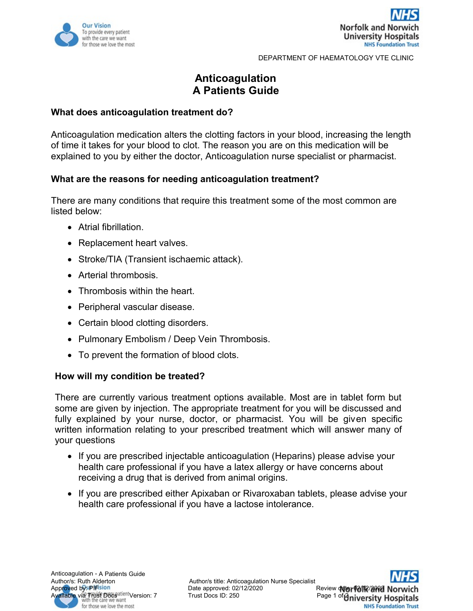



DEPARTMENT OF HAEMATOLOGY VTE CLINIC

# **Anticoagulation A Patients Guide**

### **What does anticoagulation treatment do?**

Anticoagulation medication alters the clotting factors in your blood, increasing the length of time it takes for your blood to clot. The reason you are on this medication will be explained to you by either the doctor, Anticoagulation nurse specialist or pharmacist.

# **What are the reasons for needing anticoagulation treatment?**

There are many conditions that require this treatment some of the most common are listed below:

- Atrial fibrillation.
- Replacement heart valves.
- Stroke/TIA (Transient ischaemic attack).
- Arterial thrombosis.
- Thrombosis within the heart.
- Peripheral vascular disease.
- Certain blood clotting disorders.
- Pulmonary Embolism / Deep Vein Thrombosis.
- To prevent the formation of blood clots.

#### **How will my condition be treated?**

There are currently various treatment options available. Most are in tablet form but some are given by injection. The appropriate treatment for you will be discussed and fully explained by your nurse, doctor, or pharmacist. You will be given specific written information relating to your prescribed treatment which will answer many of your questions

- If you are prescribed injectable anticoagulation (Heparins) please advise your health care professional if you have a latex allergy or have concerns about receiving a drug that is derived from animal origins.
- If you are prescribed either Apixaban or Rivaroxaban tablets, please advise your health care professional if you have a lactose intolerance.



**NHS Foundation Trust**